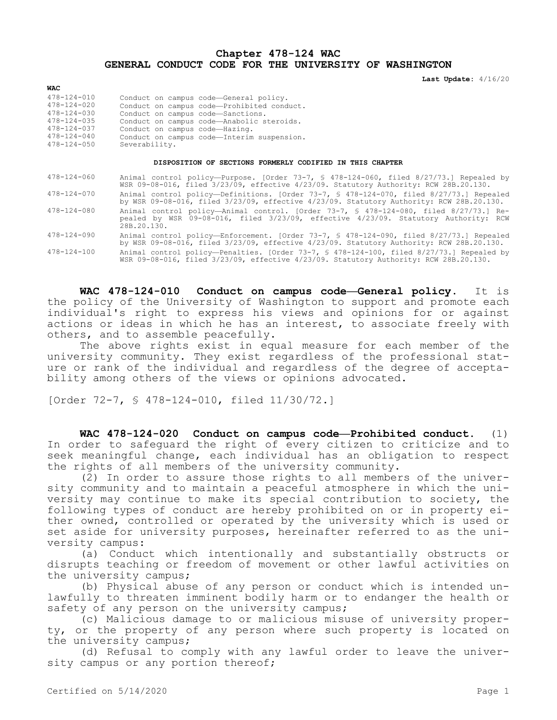## **Chapter 478-124 WAC GENERAL CONDUCT CODE FOR THE UNIVERSITY OF WASHINGTON**

**Last Update:** 4/16/20

| WAC               |                                            |
|-------------------|--------------------------------------------|
| $478 - 124 - 010$ | Conduct on campus code-General policy.     |
| $478 - 124 - 020$ | Conduct on campus code-Prohibited conduct. |
| $478 - 124 - 030$ | Conduct on campus code-Sanctions.          |
| $478 - 124 - 035$ | Conduct on campus code-Anabolic steroids.  |
| $478 - 124 - 037$ | Conduct on campus code-Hazing.             |
| $478 - 124 - 040$ | Conduct on campus code-Interim suspension. |
| $478 - 124 - 050$ | Severability.                              |
|                   |                                            |

## **DISPOSITION OF SECTIONS FORMERLY CODIFIED IN THIS CHAPTER**

| $478 - 124 - 060$ | Animal control policy—Purpose. [Order 73-7, § 478-124-060, filed 8/27/73.] Repealed by<br>WSR 09-08-016, filed 3/23/09, effective 4/23/09. Statutory Authority: RCW 28B.20.130.             |
|-------------------|---------------------------------------------------------------------------------------------------------------------------------------------------------------------------------------------|
| $478 - 124 - 070$ | Animal control policy—Definitions. [Order 73-7, § 478-124-070, filed 8/27/73.] Repealed<br>by WSR 09-08-016, filed 3/23/09, effective 4/23/09. Statutory Authority: RCW 28B.20.130.         |
| $478 - 124 - 080$ | Animal control policy—Animal control. [Order 73-7, § 478-124-080, filed 8/27/73.] Re-<br>pealed by WSR 09-08-016, filed 3/23/09, effective 4/23/09. Statutory Authority: RCW<br>28B.20.130. |
| $478 - 124 - 090$ | Animal control policy-Enforcement. [Order 73-7, § 478-124-090, filed 8/27/73.] Repealed<br>by WSR 09-08-016, filed 3/23/09, effective 4/23/09. Statutory Authority: RCW 28B.20.130.         |
| $478 - 124 - 100$ | Animal control policy—Penalties. [Order 73-7, § 478-124-100, filed 8/27/73.] Repealed by<br>WSR 09-08-016, filed 3/23/09, effective 4/23/09. Statutory Authority: RCW 28B.20.130.           |

**WAC 478-124-010 Conduct on campus code—General policy.** It is the policy of the University of Washington to support and promote each individual's right to express his views and opinions for or against actions or ideas in which he has an interest, to associate freely with others, and to assemble peacefully.

The above rights exist in equal measure for each member of the university community. They exist regardless of the professional stature or rank of the individual and regardless of the degree of acceptability among others of the views or opinions advocated.

[Order 72-7, § 478-124-010, filed 11/30/72.]

**WAC 478-124-020 Conduct on campus code—Prohibited conduct.** (1) In order to safeguard the right of every citizen to criticize and to seek meaningful change, each individual has an obligation to respect the rights of all members of the university community.

(2) In order to assure those rights to all members of the university community and to maintain a peaceful atmosphere in which the university may continue to make its special contribution to society, the following types of conduct are hereby prohibited on or in property either owned, controlled or operated by the university which is used or set aside for university purposes, hereinafter referred to as the university campus:

(a) Conduct which intentionally and substantially obstructs or disrupts teaching or freedom of movement or other lawful activities on the university campus;

(b) Physical abuse of any person or conduct which is intended unlawfully to threaten imminent bodily harm or to endanger the health or safety of any person on the university campus;

(c) Malicious damage to or malicious misuse of university property, or the property of any person where such property is located on the university campus;

(d) Refusal to comply with any lawful order to leave the university campus or any portion thereof;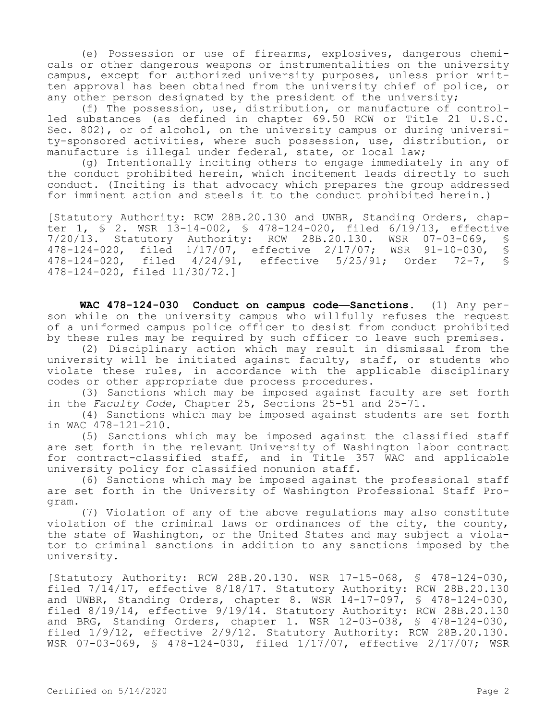(e) Possession or use of firearms, explosives, dangerous chemicals or other dangerous weapons or instrumentalities on the university campus, except for authorized university purposes, unless prior written approval has been obtained from the university chief of police, or any other person designated by the president of the university;

(f) The possession, use, distribution, or manufacture of controlled substances (as defined in chapter 69.50 RCW or Title 21 U.S.C. Sec. 802), or of alcohol, on the university campus or during university-sponsored activities, where such possession, use, distribution, or manufacture is illegal under federal, state, or local law;

(g) Intentionally inciting others to engage immediately in any of the conduct prohibited herein, which incitement leads directly to such conduct. (Inciting is that advocacy which prepares the group addressed for imminent action and steels it to the conduct prohibited herein.)

[Statutory Authority: RCW 28B.20.130 and UWBR, Standing Orders, chapter 1, § 2. WSR 13-14-002, § 478-124-020, filed 6/19/13, effective 7/20/13. Statutory Authority: RCW 28B.20.130. WSR 07-03-069, §<br>478-124-020. filed 1/17/07. effective 2/17/07: WSR 91-10-030. § 478-124-020, filed 1/17/07, effective 2/17/07; WSR 91-10-030, §<br>478-124-020, filed 4/24/91, effective 5/25/91; Order 72-7, § filed 4/24/91, effective 5/25/91; Order 72-7, 478-124-020, filed 11/30/72.]

**WAC 478-124-030 Conduct on campus code—Sanctions.** (1) Any person while on the university campus who willfully refuses the request of a uniformed campus police officer to desist from conduct prohibited by these rules may be required by such officer to leave such premises.

(2) Disciplinary action which may result in dismissal from the university will be initiated against faculty, staff, or students who violate these rules, in accordance with the applicable disciplinary codes or other appropriate due process procedures.

(3) Sanctions which may be imposed against faculty are set forth in the *Faculty Code*, Chapter 25, Sections 25-51 and 25-71.

(4) Sanctions which may be imposed against students are set forth in WAC 478-121-210.

(5) Sanctions which may be imposed against the classified staff are set forth in the relevant University of Washington labor contract for contract-classified staff, and in Title 357 WAC and applicable university policy for classified nonunion staff.

(6) Sanctions which may be imposed against the professional staff are set forth in the University of Washington Professional Staff Program.

(7) Violation of any of the above regulations may also constitute violation of the criminal laws or ordinances of the city, the county, the state of Washington, or the United States and may subject a violator to criminal sanctions in addition to any sanctions imposed by the university.

[Statutory Authority: RCW 28B.20.130. WSR 17-15-068, § 478-124-030, filed 7/14/17, effective 8/18/17. Statutory Authority: RCW 28B.20.130 and UWBR, Standing Orders, chapter 8. WSR 14-17-097, § 478-124-030, filed 8/19/14, effective 9/19/14. Statutory Authority: RCW 28B.20.130 and BRG, Standing Orders, chapter 1. WSR 12-03-038, § 478-124-030, filed 1/9/12, effective 2/9/12. Statutory Authority: RCW 28B.20.130. WSR 07-03-069, § 478-124-030, filed 1/17/07, effective 2/17/07; WSR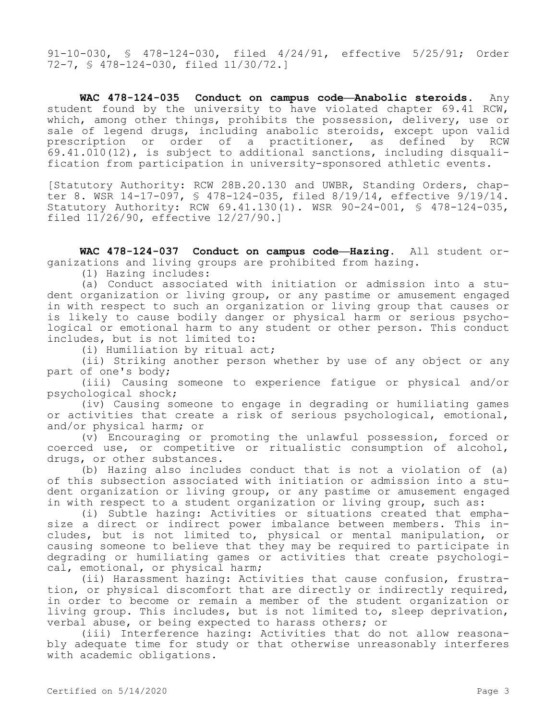91-10-030, § 478-124-030, filed 4/24/91, effective 5/25/91; Order 72-7, § 478-124-030, filed 11/30/72.]

**WAC 478-124-035 Conduct on campus code—Anabolic steroids.** Any student found by the university to have violated chapter 69.41 RCW, which, among other things, prohibits the possession, delivery, use or sale of legend drugs, including anabolic steroids, except upon valid prescription or order of a practitioner, as defined by RCW 69.41.010(12), is subject to additional sanctions, including disqualification from participation in university-sponsored athletic events.

[Statutory Authority: RCW 28B.20.130 and UWBR, Standing Orders, chapter 8. WSR 14-17-097, § 478-124-035, filed 8/19/14, effective 9/19/14. Statutory Authority: RCW 69.41.130(1). WSR 90-24-001, § 478-124-035, filed 11/26/90, effective 12/27/90.]

**WAC 478-124-037 Conduct on campus code—Hazing.** All student organizations and living groups are prohibited from hazing.

(1) Hazing includes:

(a) Conduct associated with initiation or admission into a student organization or living group, or any pastime or amusement engaged in with respect to such an organization or living group that causes or is likely to cause bodily danger or physical harm or serious psychological or emotional harm to any student or other person. This conduct includes, but is not limited to:

(i) Humiliation by ritual act;

(ii) Striking another person whether by use of any object or any part of one's body;

(iii) Causing someone to experience fatigue or physical and/or psychological shock;

(iv) Causing someone to engage in degrading or humiliating games or activities that create a risk of serious psychological, emotional, and/or physical harm; or

(v) Encouraging or promoting the unlawful possession, forced or coerced use, or competitive or ritualistic consumption of alcohol, drugs, or other substances.

(b) Hazing also includes conduct that is not a violation of (a) of this subsection associated with initiation or admission into a student organization or living group, or any pastime or amusement engaged in with respect to a student organization or living group, such as:

(i) Subtle hazing: Activities or situations created that emphasize a direct or indirect power imbalance between members. This includes, but is not limited to, physical or mental manipulation, or causing someone to believe that they may be required to participate in degrading or humiliating games or activities that create psychological, emotional, or physical harm;

(ii) Harassment hazing: Activities that cause confusion, frustration, or physical discomfort that are directly or indirectly required, in order to become or remain a member of the student organization or living group. This includes, but is not limited to, sleep deprivation, verbal abuse, or being expected to harass others; or

(iii) Interference hazing: Activities that do not allow reasonably adequate time for study or that otherwise unreasonably interferes with academic obligations.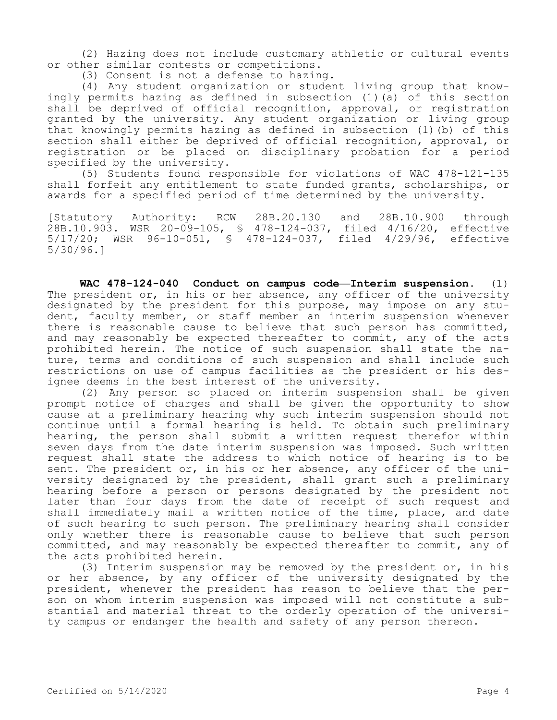(2) Hazing does not include customary athletic or cultural events or other similar contests or competitions.

(3) Consent is not a defense to hazing.

(4) Any student organization or student living group that knowingly permits hazing as defined in subsection (1)(a) of this section shall be deprived of official recognition, approval, or registration granted by the university. Any student organization or living group that knowingly permits hazing as defined in subsection (1)(b) of this section shall either be deprived of official recognition, approval, or registration or be placed on disciplinary probation for a period specified by the university.

(5) Students found responsible for violations of WAC 478-121-135 shall forfeit any entitlement to state funded grants, scholarships, or awards for a specified period of time determined by the university.

[Statutory Authority: RCW 28B.20.130 and 28B.10.900 through 28B.10.903. WSR 20-09-105, § 478-124-037, filed 4/16/20, effective 5/17/20; WSR 96-10-051, § 478-124-037, filed 4/29/96, effective 5/30/96.]

**WAC 478-124-040 Conduct on campus code—Interim suspension.** (1) The president or, in his or her absence, any officer of the university designated by the president for this purpose, may impose on any student, faculty member, or staff member an interim suspension whenever there is reasonable cause to believe that such person has committed, and may reasonably be expected thereafter to commit, any of the acts prohibited herein. The notice of such suspension shall state the nature, terms and conditions of such suspension and shall include such restrictions on use of campus facilities as the president or his designee deems in the best interest of the university.

(2) Any person so placed on interim suspension shall be given prompt notice of charges and shall be given the opportunity to show cause at a preliminary hearing why such interim suspension should not continue until a formal hearing is held. To obtain such preliminary hearing, the person shall submit a written request therefor within seven days from the date interim suspension was imposed. Such written request shall state the address to which notice of hearing is to be sent. The president or, in his or her absence, any officer of the university designated by the president, shall grant such a preliminary hearing before a person or persons designated by the president not later than four days from the date of receipt of such request and shall immediately mail a written notice of the time, place, and date of such hearing to such person. The preliminary hearing shall consider only whether there is reasonable cause to believe that such person committed, and may reasonably be expected thereafter to commit, any of the acts prohibited herein.

(3) Interim suspension may be removed by the president or, in his or her absence, by any officer of the university designated by the president, whenever the president has reason to believe that the person on whom interim suspension was imposed will not constitute a substantial and material threat to the orderly operation of the university campus or endanger the health and safety of any person thereon.